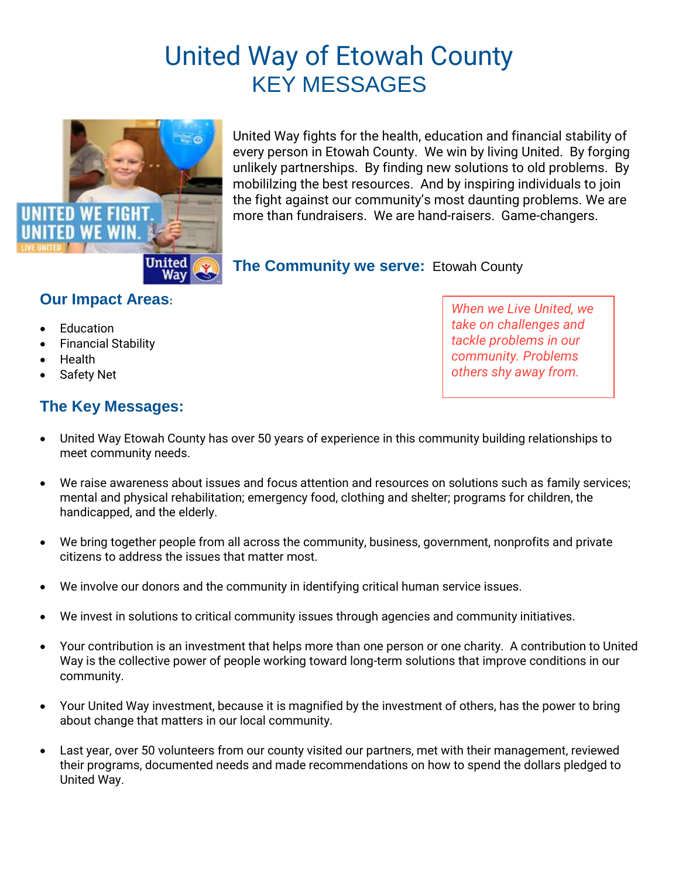# United Way of Etowah County KEY MESSAGES



United Way fights for the health, education and financial stability of every person in Etowah County. We win by living United. By forging unlikely partnerships. By finding new solutions to old problems. By mobililzing the best resources. And by inspiring individuals to join the fight against our community's most daunting problems. We are more than fundraisers. We are hand-raisers. Game-changers.

**The Community we serve:** Etowah County

#### **Our Impact Areas:**

- Education
- Financial Stability
- Health
- Safety Net

#### **The Key Messages:**

- United Way Etowah County has over 50 years of experience in this community building relationships to meet community needs.
- We raise awareness about issues and focus attention and resources on solutions such as family services; mental and physical rehabilitation; emergency food, clothing and shelter; programs for children, the handicapped, and the elderly.
- We bring together people from all across the community, business, government, nonprofits and private citizens to address the issues that matter most.
- We involve our donors and the community in identifying critical human service issues.
- We invest in solutions to critical community issues through agencies and community initiatives.
- Your contribution is an investment that helps more than one person or one charity. A contribution to United Way is the collective power of people working toward long-term solutions that improve conditions in our community.
- Your United Way investment, because it is magnified by the investment of others, has the power to bring about change that matters in our local community.
- Last year, over 50 volunteers from our county visited our partners, met with their management, reviewed their programs, documented needs and made recommendations on how to spend the dollars pledged to United Way.

*When we Live United, we take on challenges and tackle problems in our community. Problems others shy away from.*